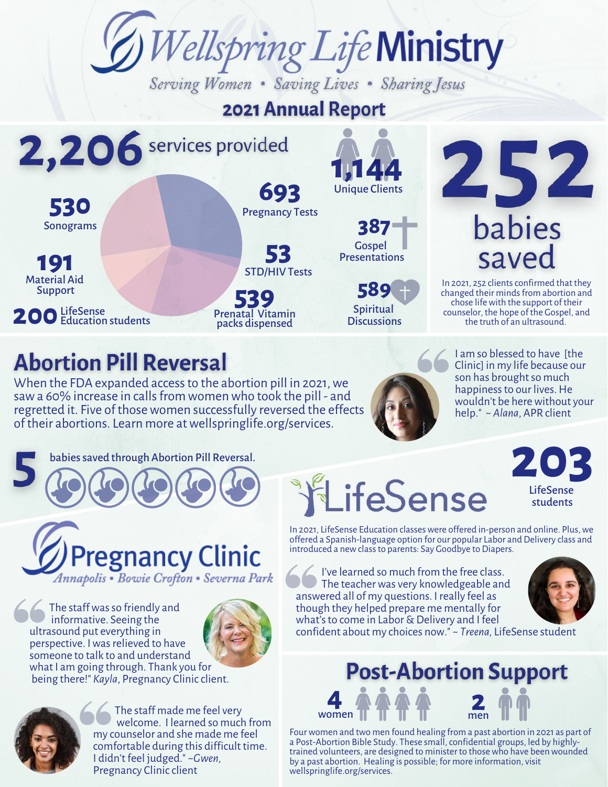

# **2021 Annual Report**

2,206 services provided **1,144 693** Unique Clients **530** Pregnancy Tests External of the Same Cospel<br>
Same Presentation Sonograms **53 191 Presentations** STD/HIV Tests Material Aid **539** Support **200** LifeSense<br>
Education students LifeSense Prenatal Vitamin packs dispensed

# **Abortion Pill Reversal**

When the FDA expanded access to the abortion pill in 2021, we saw a 60% increase in calls from women who took the pill - and regretted it. Five of those women successfully reversed the effects of their abortions. Learn more atwellspringlife.org/services.



**589**

Spiritual **Discussions** 

Gospel

I am so blessed to have [the Clinic] in my life because our son has brought so much happiness to our lives. He wouldn't be here without your help." ~ *Alana*, APR client

In 2021, 252 clients confirmed that they changed their minds from abortion and chose lifewith the support of their counselor, the hope of the Gospel, and the truth of an ultrasound.

saved

252

babies

babies saved through Abortion Pill Reversal.



The staff was so friendly and informative. Seeing the ultrasound put everything in perspective. Iwasrelieved to have someone to talk to and understand what I am going through. Thank you for being there!" *Kayla*, Pregnancy Clinicclient.





The staff made me feel very welcome. I learned so much from my counselor and she made me feel comfortable during this difficult time. I didn't feel judged." ~*Gwen,* Pregnancy Clinic client

ifeSense

In 2021, LifeSense Education classes were offered in-person and online. Plus, we offered a Spanish-language option for our popular Labor and Delivery class and introduced a newclassto parents: Say Goodbye to Diapers.

I've learned so much from the free class. The teacher was very knowledgeable and answered all of my questions. I really feel as though they helped prepare me mentally for what's to come in Labor & Delivery and I feel confident about my choices now." ~ *Treena,* LifeSense student



**203**

LifeSense students

### **4** women **2** men

Four women and two men found healing from a past abortion in 2021 as part of a Post-Abortion Bible Study. These small, confidential groups, led by highlytrained volunteers, are designed to minister to thosewho have beenwounded by a past abortion. Healing is possible; for more information, visit wellspringlife.org/services.